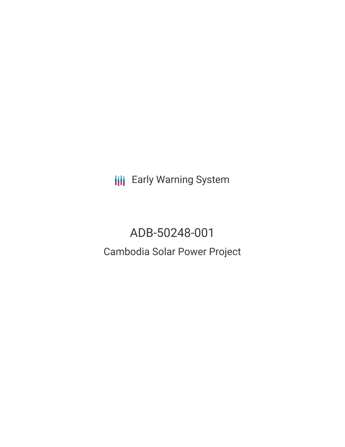**III** Early Warning System

# ADB-50248-001 Cambodia Solar Power Project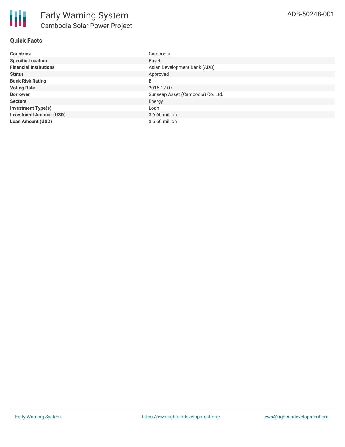# **Quick Facts**

| <b>Countries</b>               | Cambodia                          |
|--------------------------------|-----------------------------------|
| <b>Specific Location</b>       | <b>Bavet</b>                      |
| <b>Financial Institutions</b>  | Asian Development Bank (ADB)      |
| <b>Status</b>                  | Approved                          |
| <b>Bank Risk Rating</b>        | B                                 |
| <b>Voting Date</b>             | 2016-12-07                        |
| <b>Borrower</b>                | Sunseap Asset (Cambodia) Co. Ltd. |
| <b>Sectors</b>                 | Energy                            |
| <b>Investment Type(s)</b>      | Loan                              |
| <b>Investment Amount (USD)</b> | $$6.60$ million                   |
| <b>Loan Amount (USD)</b>       | $$6.60$ million                   |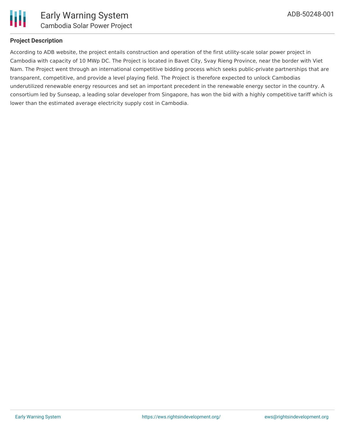

## **Project Description**

According to ADB website, the project entails construction and operation of the first utility-scale solar power project in Cambodia with capacity of 10 MWp DC. The Project is located in Bavet City, Svay Rieng Province, near the border with Viet Nam. The Project went through an international competitive bidding process which seeks public-private partnerships that are transparent, competitive, and provide a level playing field. The Project is therefore expected to unlock Cambodias underutilized renewable energy resources and set an important precedent in the renewable energy sector in the country. A consortium led by Sunseap, a leading solar developer from Singapore, has won the bid with a highly competitive tariff which is lower than the estimated average electricity supply cost in Cambodia.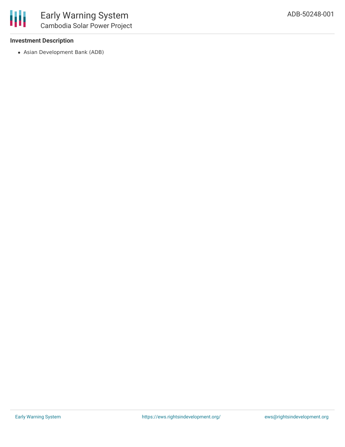## **Investment Description**

Asian Development Bank (ADB)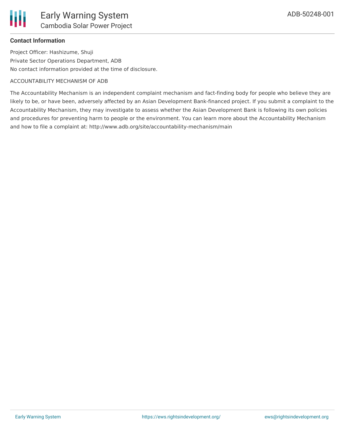# **Contact Information**

Project Officer: Hashizume, Shuji Private Sector Operations Department, ADB No contact information provided at the time of disclosure.

#### ACCOUNTABILITY MECHANISM OF ADB

The Accountability Mechanism is an independent complaint mechanism and fact-finding body for people who believe they are likely to be, or have been, adversely affected by an Asian Development Bank-financed project. If you submit a complaint to the Accountability Mechanism, they may investigate to assess whether the Asian Development Bank is following its own policies and procedures for preventing harm to people or the environment. You can learn more about the Accountability Mechanism and how to file a complaint at: http://www.adb.org/site/accountability-mechanism/main